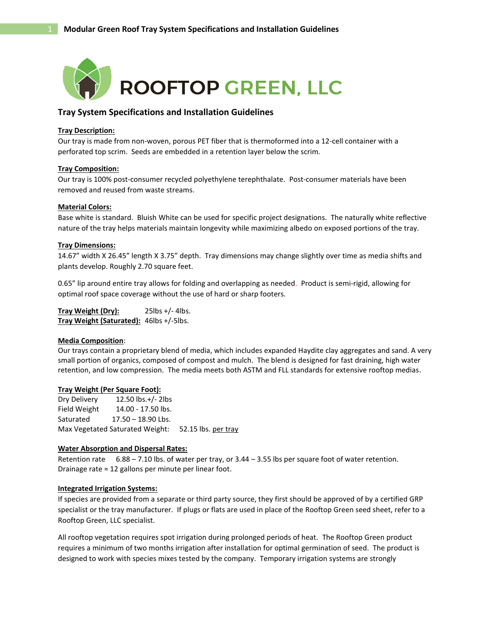

## **Tray System Specifications and Installation Guidelines**

#### **Tray Description:**

Our tray is made from non-woven, porous PET fiber that is thermoformed into a 12-cell container with a perforated top scrim. Seeds are embedded in a retention layer below the scrim.

#### **Tray Composition:**

Our tray is 100% post-consumer recycled polyethylene terephthalate. Post-consumer materials have been removed and reused from waste streams.

#### **Material Colors:**

Base white is standard. Bluish White can be used for specific project designations. The naturally white reflective nature of the tray helps materials maintain longevity while maximizing albedo on exposed portions of the tray.

#### **Tray Dimensions:**

14.67" width X 26.45" length X 3.75" depth. Tray dimensions may change slightly over time as media shifts and plants develop. Roughly 2.70 square feet.

0.65" lip around entire tray allows for folding and overlapping as needed. Product is semi-rigid, allowing for optimal roof space coverage without the use of hard or sharp footers.

**Tray Weight (Dry):** 25lbs +/- 4lbs. **Tray Weight (Saturated):** 46lbs +/-5lbs.

#### **Media Composition**:

Our trays contain a proprietary blend of media, which includes expanded Haydite clay aggregates and sand. A very small portion of organics, composed of compost and mulch. The blend is designed for fast draining, high water retention, and low compression. The media meets both ASTM and FLL standards for extensive rooftop medias.

#### **Tray Weight (Per Square Foot):**

Dry Delivery 12.50 lbs.+/- 2lbs Field Weight 14.00 - 17.50 lbs. Saturated 17.50 – 18.90 Lbs. Max Vegetated Saturated Weight: 52.15 lbs. per tray

#### **Water Absorption and Dispersal Rates:**

Retention rate 6.88 – 7.10 lbs. of water per tray, or 3.44 – 3.55 lbs per square foot of water retention. Drainage rate ≈ 12 gallons per minute per linear foot.

#### **Integrated Irrigation Systems:**

If species are provided from a separate or third party source, they first should be approved of by a certified GRP specialist or the tray manufacturer. If plugs or flats are used in place of the Rooftop Green seed sheet, refer to a Rooftop Green, LLC specialist.

All rooftop vegetation requires spot irrigation during prolonged periods of heat. The Rooftop Green product requires a minimum of two months irrigation after installation for optimal germination of seed. The product is designed to work with species mixes tested by the company. Temporary irrigation systems are strongly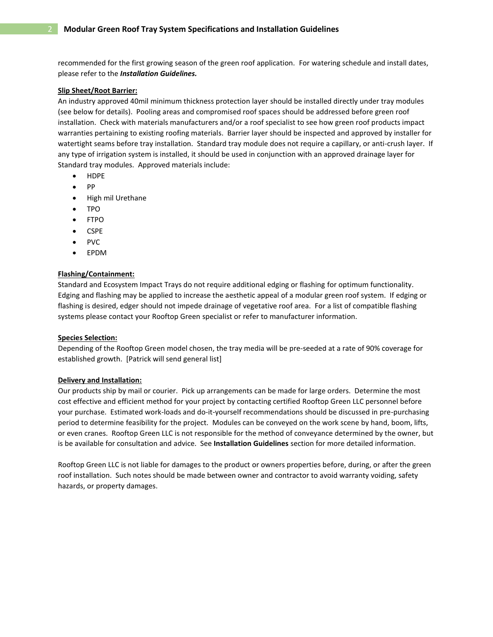recommended for the first growing season of the green roof application. For watering schedule and install dates, please refer to the *Installation Guidelines.* 

#### **Slip Sheet/Root Barrier:**

An industry approved 40mil minimum thickness protection layer should be installed directly under tray modules (see below for details). Pooling areas and compromised roof spaces should be addressed before green roof installation. Check with materials manufacturers and/or a roof specialist to see how green roof products impact warranties pertaining to existing roofing materials. Barrier layer should be inspected and approved by installer for watertight seams before tray installation. Standard tray module does not require a capillary, or anti-crush layer. If any type of irrigation system is installed, it should be used in conjunction with an approved drainage layer for Standard tray modules. Approved materials include:

- HDPE
- PP
- High mil Urethane
- TPO
- FTPO
- CSPE
- PVC
- EPDM

#### **Flashing/Containment:**

Standard and Ecosystem Impact Trays do not require additional edging or flashing for optimum functionality. Edging and flashing may be applied to increase the aesthetic appeal of a modular green roof system. If edging or flashing is desired, edger should not impede drainage of vegetative roof area. For a list of compatible flashing systems please contact your Rooftop Green specialist or refer to manufacturer information.

#### **Species Selection:**

Depending of the Rooftop Green model chosen, the tray media will be pre-seeded at a rate of 90% coverage for established growth. [Patrick will send general list]

#### **Delivery and Installation:**

Our products ship by mail or courier. Pick up arrangements can be made for large orders. Determine the most cost effective and efficient method for your project by contacting certified Rooftop Green LLC personnel before your purchase. Estimated work-loads and do-it-yourself recommendations should be discussed in pre-purchasing period to determine feasibility for the project. Modules can be conveyed on the work scene by hand, boom, lifts, or even cranes. Rooftop Green LLC is not responsible for the method of conveyance determined by the owner, but is be available for consultation and advice. See **Installation Guidelines** section for more detailed information.

Rooftop Green LLC is not liable for damages to the product or owners properties before, during, or after the green roof installation. Such notes should be made between owner and contractor to avoid warranty voiding, safety hazards, or property damages.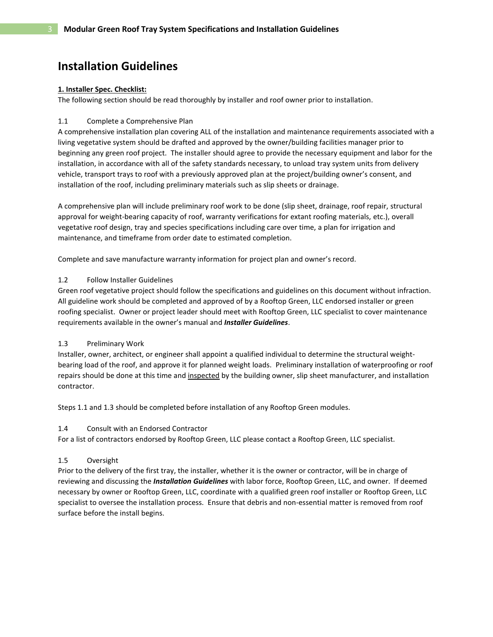# **Installation Guidelines**

#### **1. Installer Spec. Checklist:**

The following section should be read thoroughly by installer and roof owner prior to installation.

#### 1.1 Complete a Comprehensive Plan

A comprehensive installation plan covering ALL of the installation and maintenance requirements associated with a living vegetative system should be drafted and approved by the owner/building facilities manager prior to beginning any green roof project. The installer should agree to provide the necessary equipment and labor for the installation, in accordance with all of the safety standards necessary, to unload tray system units from delivery vehicle, transport trays to roof with a previously approved plan at the project/building owner's consent, and installation of the roof, including preliminary materials such as slip sheets or drainage.

A comprehensive plan will include preliminary roof work to be done (slip sheet, drainage, roof repair, structural approval for weight-bearing capacity of roof, warranty verifications for extant roofing materials, etc.), overall vegetative roof design, tray and species specifications including care over time, a plan for irrigation and maintenance, and timeframe from order date to estimated completion.

Complete and save manufacture warranty information for project plan and owner's record.

## 1.2 Follow Installer Guidelines

Green roof vegetative project should follow the specifications and guidelines on this document without infraction. All guideline work should be completed and approved of by a Rooftop Green, LLC endorsed installer or green roofing specialist. Owner or project leader should meet with Rooftop Green, LLC specialist to cover maintenance requirements available in the owner's manual and *Installer Guidelines*.

#### 1.3 Preliminary Work

Installer, owner, architect, or engineer shall appoint a qualified individual to determine the structural weightbearing load of the roof, and approve it for planned weight loads. Preliminary installation of waterproofing or roof repairs should be done at this time and inspected by the building owner, slip sheet manufacturer, and installation contractor.

Steps 1.1 and 1.3 should be completed before installation of any Rooftop Green modules.

# 1.4 Consult with an Endorsed Contractor

For a list of contractors endorsed by Rooftop Green, LLC please contact a Rooftop Green, LLC specialist.

# 1.5 Oversight

Prior to the delivery of the first tray, the installer, whether it is the owner or contractor, will be in charge of reviewing and discussing the *Installation Guidelines* with labor force, Rooftop Green, LLC, and owner. If deemed necessary by owner or Rooftop Green, LLC, coordinate with a qualified green roof installer or Rooftop Green, LLC specialist to oversee the installation process. Ensure that debris and non-essential matter is removed from roof surface before the install begins.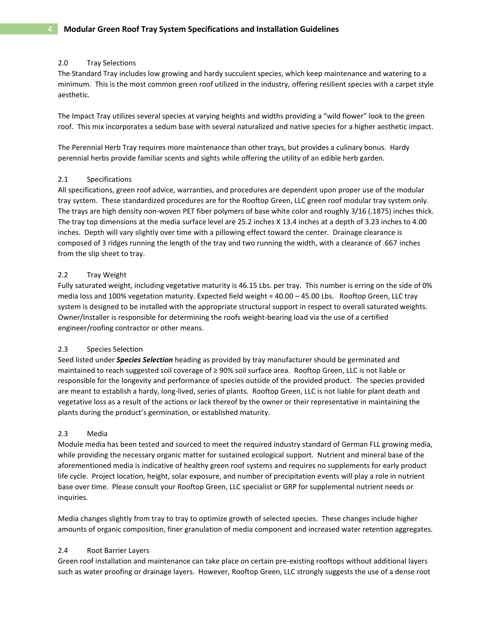## 2.0 Tray Selections

The Standard Tray includes low growing and hardy succulent species, which keep maintenance and watering to a minimum. This is the most common green roof utilized in the industry, offering resilient species with a carpet style aesthetic.

The Impact Tray utilizes several species at varying heights and widths providing a "wild flower" look to the green roof. This mix incorporates a sedum base with several naturalized and native species for a higher aesthetic impact.

The Perennial Herb Tray requires more maintenance than other trays, but provides a culinary bonus. Hardy perennial herbs provide familiar scents and sights while offering the utility of an edible herb garden.

## 2.1 Specifications

All specifications, green roof advice, warranties, and procedures are dependent upon proper use of the modular tray system. These standardized procedures are for the Rooftop Green, LLC green roof modular tray system only. The trays are high density non-woven PET fiber polymers of base white color and roughly 3/16 (.1875) inches thick. The tray top dimensions at the media surface level are 25.2 inches X 13.4 inches at a depth of 3.23 inches to 4.00 inches. Depth will vary slightly over time with a pillowing effect toward the center. Drainage clearance is composed of 3 ridges running the length of the tray and two running the width, with a clearance of .667 inches from the slip sheet to tray.

## 2.2 Tray Weight

Fully saturated weight, including vegetative maturity is 46.15 Lbs. per tray. This number is erring on the side of 0% media loss and 100% vegetation maturity. Expected field weight ≈ 40.00 – 45.00 Lbs. Rooftop Green, LLC tray system is designed to be installed with the appropriate structural support in respect to overall saturated weights. Owner/Installer is responsible for determining the roofs weight-bearing load via the use of a certified engineer/roofing contractor or other means.

#### 2.3 Species Selection

Seed listed under *Species Selection* heading as provided by tray manufacturer should be germinated and maintained to reach suggested soil coverage of ≥ 90% soil surface area. Rooftop Green, LLC is not liable or responsible for the longevity and performance of species outside of the provided product. The species provided are meant to establish a hardy, long-lived, series of plants. Rooftop Green, LLC is not liable for plant death and vegetative loss as a result of the actions or lack thereof by the owner or their representative in maintaining the plants during the product's germination, or established maturity.

# 2.3 Media

Module media has been tested and sourced to meet the required industry standard of German FLL growing media, while providing the necessary organic matter for sustained ecological support. Nutrient and mineral base of the aforementioned media is indicative of healthy green roof systems and requires no supplements for early product life cycle. Project location, height, solar exposure, and number of precipitation events will play a role in nutrient base over time. Please consult your Rooftop Green, LLC specialist or GRP for supplemental nutrient needs or inquiries.

Media changes slightly from tray to tray to optimize growth of selected species. These changes include higher amounts of organic composition, finer granulation of media component and increased water retention aggregates.

#### 2.4 Root Barrier Layers

Green roof installation and maintenance can take place on certain pre-existing rooftops without additional layers such as water proofing or drainage layers. However, Rooftop Green, LLC strongly suggests the use of a dense root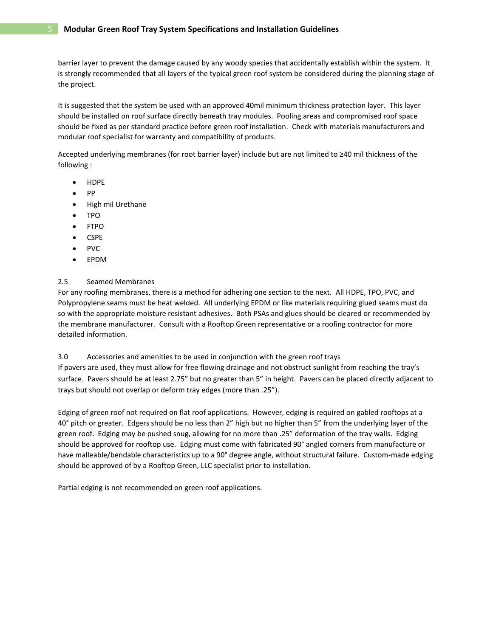barrier layer to prevent the damage caused by any woody species that accidentally establish within the system. It is strongly recommended that all layers of the typical green roof system be considered during the planning stage of the project.

It is suggested that the system be used with an approved 40mil minimum thickness protection layer. This layer should be installed on roof surface directly beneath tray modules. Pooling areas and compromised roof space should be fixed as per standard practice before green roof installation. Check with materials manufacturers and modular roof specialist for warranty and compatibility of products.

Accepted underlying membranes (for root barrier layer) include but are not limited to ≥40 mil thickness of the following :

- HDPE
- $\bullet$  PP
- High mil Urethane
- TPO
- FTPO
- CSPE
- PVC
- EPDM

# 2.5 Seamed Membranes

For any roofing membranes, there is a method for adhering one section to the next. All HDPE, TPO, PVC, and Polypropylene seams must be heat welded. All underlying EPDM or like materials requiring glued seams must do so with the appropriate moisture resistant adhesives. Both PSAs and glues should be cleared or recommended by the membrane manufacturer. Consult with a Rooftop Green representative or a roofing contractor for more detailed information.

3.0 Accessories and amenities to be used in conjunction with the green roof trays If pavers are used, they must allow for free flowing drainage and not obstruct sunlight from reaching the tray's

surface. Pavers should be at least 2.75" but no greater than 5" in height. Pavers can be placed directly adjacent to trays but should not overlap or deform tray edges (more than .25").

Edging of green roof not required on flat roof applications. However, edging is required on gabled rooftops at a 40° pitch or greater. Edgers should be no less than 2" high but no higher than 5" from the underlying layer of the green roof. Edging may be pushed snug, allowing for no more than .25" deformation of the tray walls. Edging should be approved for rooftop use. Edging must come with fabricated 90° angled corners from manufacture or have malleable/bendable characteristics up to a 90° degree angle, without structural failure. Custom-made edging should be approved of by a Rooftop Green, LLC specialist prior to installation.

Partial edging is not recommended on green roof applications.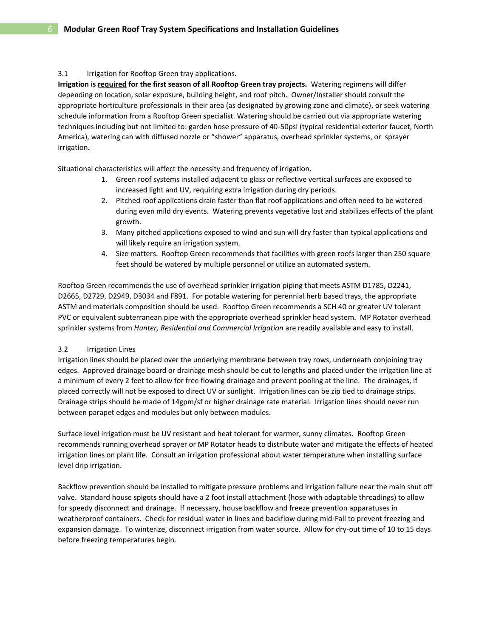# 3.1 Irrigation for Rooftop Green tray applications.

**Irrigation is required for the first season of all Rooftop Green tray projects.** Watering regimens will differ depending on location, solar exposure, building height, and roof pitch. Owner/Installer should consult the appropriate horticulture professionals in their area (as designated by growing zone and climate), or seek watering schedule information from a Rooftop Green specialist. Watering should be carried out via appropriate watering techniques including but not limited to: garden hose pressure of 40-50psi (typical residential exterior faucet, North America), watering can with diffused nozzle or "shower" apparatus, overhead sprinkler systems, or sprayer irrigation.

Situational characteristics will affect the necessity and frequency of irrigation.

- 1. Green roof systems installed adjacent to glass or reflective vertical surfaces are exposed to increased light and UV, requiring extra irrigation during dry periods.
- 2. Pitched roof applications drain faster than flat roof applications and often need to be watered during even mild dry events. Watering prevents vegetative lost and stabilizes effects of the plant growth.
- 3. Many pitched applications exposed to wind and sun will dry faster than typical applications and will likely require an irrigation system.
- 4. Size matters. Rooftop Green recommends that facilities with green roofs larger than 250 square feet should be watered by multiple personnel or utilize an automated system.

Rooftop Green recommends the use of overhead sprinkler irrigation piping that meets ASTM D1785, D2241, D2665, D2729, D2949, D3034 and F891. For potable watering for perennial herb based trays, the appropriate ASTM and materials composition should be used. Rooftop Green recommends a SCH 40 or greater UV tolerant PVC or equivalent subterranean pipe with the appropriate overhead sprinkler head system. MP Rotator overhead sprinkler systems from *Hunter, Residential and Commercial Irrigation* are readily available and easy to install.

# 3.2 Irrigation Lines

Irrigation lines should be placed over the underlying membrane between tray rows, underneath conjoining tray edges. Approved drainage board or drainage mesh should be cut to lengths and placed under the irrigation line at a minimum of every 2 feet to allow for free flowing drainage and prevent pooling at the line. The drainages, if placed correctly will not be exposed to direct UV or sunlight. Irrigation lines can be zip tied to drainage strips. Drainage strips should be made of 14gpm/sf or higher drainage rate material. Irrigation lines should never run between parapet edges and modules but only between modules.

Surface level irrigation must be UV resistant and heat tolerant for warmer, sunny climates. Rooftop Green recommends running overhead sprayer or MP Rotator heads to distribute water and mitigate the effects of heated irrigation lines on plant life. Consult an irrigation professional about water temperature when installing surface level drip irrigation.

Backflow prevention should be installed to mitigate pressure problems and irrigation failure near the main shut off valve. Standard house spigots should have a 2 foot install attachment (hose with adaptable threadings) to allow for speedy disconnect and drainage. If necessary, house backflow and freeze prevention apparatuses in weatherproof containers. Check for residual water in lines and backflow during mid-Fall to prevent freezing and expansion damage. To winterize, disconnect irrigation from water source. Allow for dry-out time of 10 to 15 days before freezing temperatures begin.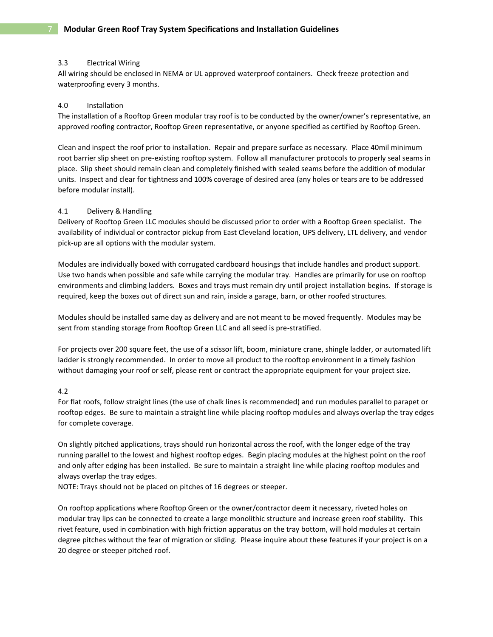## 3.3 Electrical Wiring

All wiring should be enclosed in NEMA or UL approved waterproof containers. Check freeze protection and waterproofing every 3 months.

# 4.0 Installation

The installation of a Rooftop Green modular tray roof is to be conducted by the owner/owner's representative, an approved roofing contractor, Rooftop Green representative, or anyone specified as certified by Rooftop Green.

Clean and inspect the roof prior to installation. Repair and prepare surface as necessary. Place 40mil minimum root barrier slip sheet on pre-existing rooftop system. Follow all manufacturer protocols to properly seal seams in place. Slip sheet should remain clean and completely finished with sealed seams before the addition of modular units. Inspect and clear for tightness and 100% coverage of desired area (any holes or tears are to be addressed before modular install).

## 4.1 Delivery & Handling

Delivery of Rooftop Green LLC modules should be discussed prior to order with a Rooftop Green specialist. The availability of individual or contractor pickup from East Cleveland location, UPS delivery, LTL delivery, and vendor pick-up are all options with the modular system.

Modules are individually boxed with corrugated cardboard housings that include handles and product support. Use two hands when possible and safe while carrying the modular tray. Handles are primarily for use on rooftop environments and climbing ladders. Boxes and trays must remain dry until project installation begins. If storage is required, keep the boxes out of direct sun and rain, inside a garage, barn, or other roofed structures.

Modules should be installed same day as delivery and are not meant to be moved frequently. Modules may be sent from standing storage from Rooftop Green LLC and all seed is pre-stratified.

For projects over 200 square feet, the use of a scissor lift, boom, miniature crane, shingle ladder, or automated lift ladder is strongly recommended. In order to move all product to the rooftop environment in a timely fashion without damaging your roof or self, please rent or contract the appropriate equipment for your project size.

# 4.2

For flat roofs, follow straight lines (the use of chalk lines is recommended) and run modules parallel to parapet or rooftop edges. Be sure to maintain a straight line while placing rooftop modules and always overlap the tray edges for complete coverage.

On slightly pitched applications, trays should run horizontal across the roof, with the longer edge of the tray running parallel to the lowest and highest rooftop edges. Begin placing modules at the highest point on the roof and only after edging has been installed. Be sure to maintain a straight line while placing rooftop modules and always overlap the tray edges.

NOTE: Trays should not be placed on pitches of 16 degrees or steeper.

On rooftop applications where Rooftop Green or the owner/contractor deem it necessary, riveted holes on modular tray lips can be connected to create a large monolithic structure and increase green roof stability. This rivet feature, used in combination with high friction apparatus on the tray bottom, will hold modules at certain degree pitches without the fear of migration or sliding. Please inquire about these features if your project is on a 20 degree or steeper pitched roof.